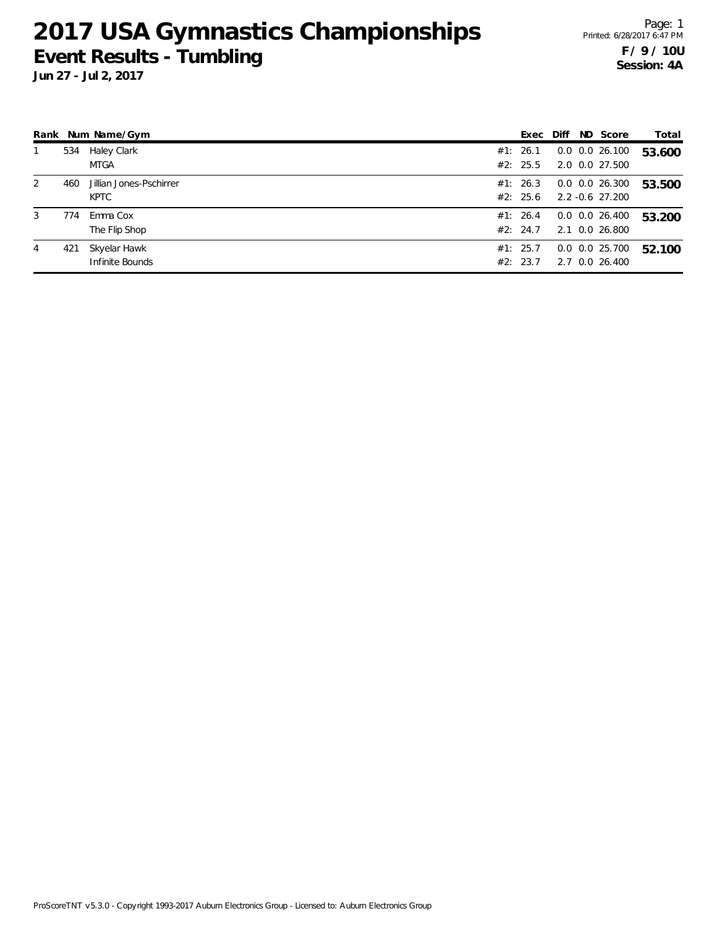**Jun 27 - Jul 2, 2017**

Page: 1 Printed: 6/28/2017 6:47 PM **F / 9 / 10U Session: 4A**

|                |     | Rank Num Name/Gym                      | Exec                 | Diff | ND Score                               | Total  |
|----------------|-----|----------------------------------------|----------------------|------|----------------------------------------|--------|
|                | 534 | Haley Clark<br><b>MTGA</b>             | #1: 26.1<br>#2: 25.5 |      | $0.0$ $0.0$ 26.100<br>2.0 0.0 27.500   | 53.600 |
| $\overline{2}$ | 460 | Jillian Jones-Pschirrer<br><b>KPTC</b> | #1: 26.3<br>#2: 25.6 |      | $0.0$ $0.0$ 26.300<br>2.2 -0.6 27.200  | 53.500 |
| 3              | 774 | Emma Cox<br>The Flip Shop              | #1: 26.4<br>#2: 24.7 |      | $0.0$ $0.0$ 26.400<br>2.1 0.0 26.800   | 53.200 |
| 4              | 421 | Skyelar Hawk<br>Infinite Bounds        | #1: 25.7<br>#2: 23.7 |      | $0.0$ $0.0$ $25.700$<br>2.7 0.0 26.400 | 52.100 |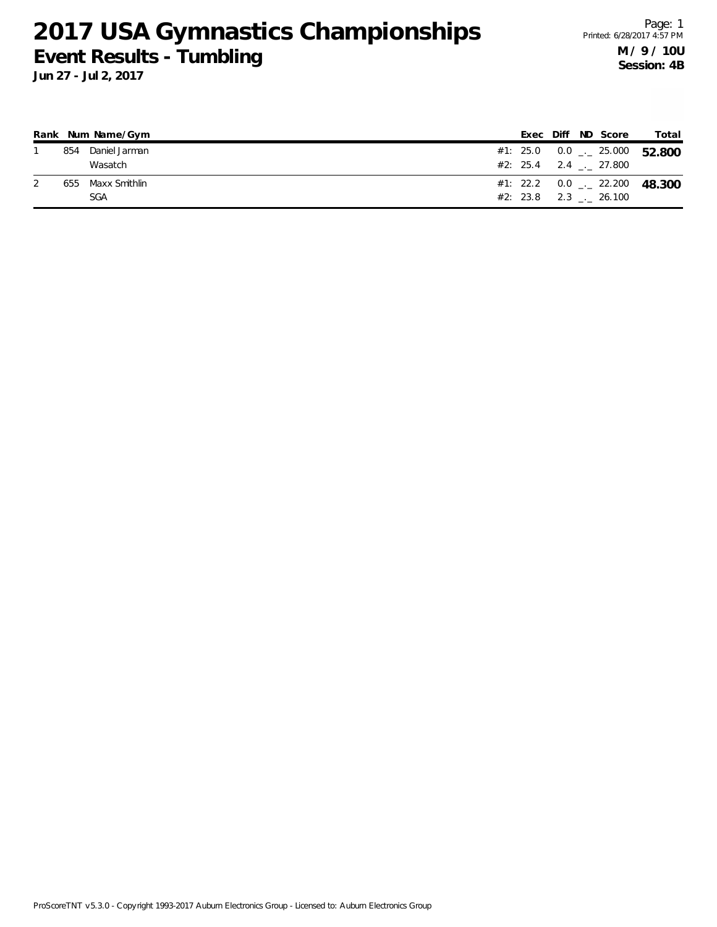|     | Rank Num Name/Gym |  |  | Exec Diff ND Score       | Total                                    |
|-----|-------------------|--|--|--------------------------|------------------------------------------|
| 854 | Daniel Jarman     |  |  |                          | #1: 25.0  0.0 $\ldots$ 25.000  52.800    |
|     | Wasatch           |  |  | $\#2: 25.4$ 2.4 . 27.800 |                                          |
|     | 655 Maxx Smithlin |  |  |                          | #1: 22.2 0.0 $\frac{1}{2}$ 22.200 48.300 |
|     | <b>SGA</b>        |  |  | $#2: 23.8$ 2.3 . 26.100  |                                          |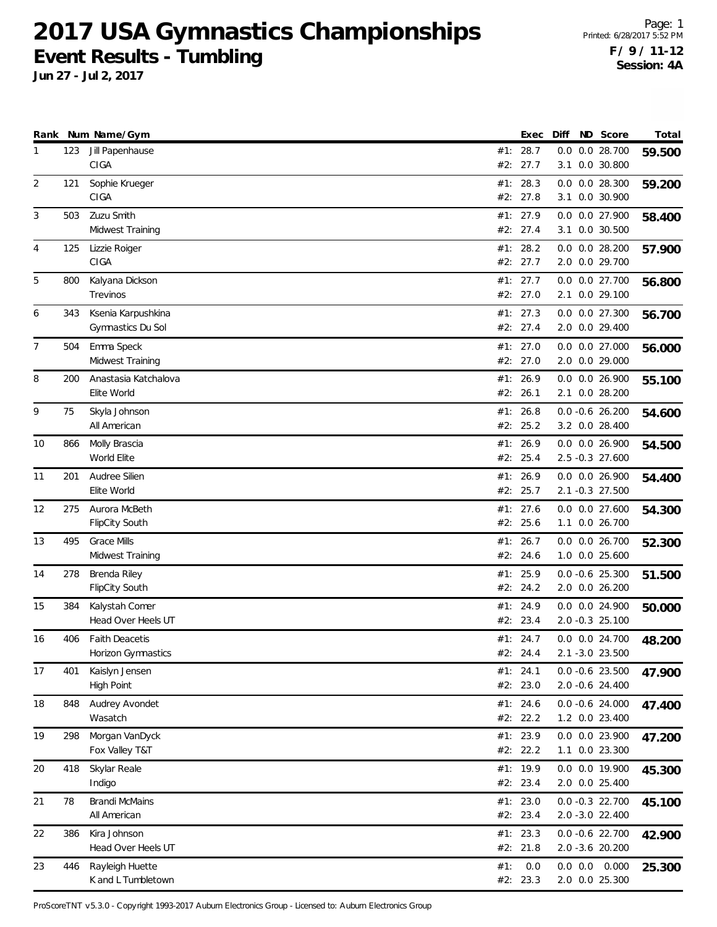**Jun 27 - Jul 2, 2017**

Page: 1 Printed: 6/28/2017 5:52 PM **F / 9 / 11-12 Session: 4A**

|    |     | Rank Num Name/Gym                           |            | Exec                   | Diff | ND Score                              | Total  |
|----|-----|---------------------------------------------|------------|------------------------|------|---------------------------------------|--------|
| 1  | 123 | Jill Papenhause<br>CIGA                     | #2:        | #1: 28.7<br>27.7       | 0.0  | 0.0 28.700<br>3.1 0.0 30.800          | 59.500 |
| 2  | 121 | Sophie Krueger<br>CIGA                      |            | #1: 28.3<br>#2: 27.8   |      | $0.0$ $0.0$ 28.300<br>3.1 0.0 30.900  | 59.200 |
| 3  | 503 | Zuzu Smith<br>Midwest Training              |            | #1: 27.9<br>#2: 27.4   |      | 0.0 0.0 27.900<br>3.1 0.0 30.500      | 58.400 |
| 4  | 125 | Lizzie Roiger<br>CIGA                       |            | #1: 28.2<br>#2: 27.7   |      | $0.0$ $0.0$ 28.200<br>2.0 0.0 29.700  | 57.900 |
| 5  | 800 | Kalyana Dickson<br><b>Trevinos</b>          |            | #1: 27.7<br>#2: 27.0   |      | 0.0 0.0 27.700<br>2.1 0.0 29.100      | 56.800 |
| 6  | 343 | Ksenia Karpushkina<br>Gymnastics Du Sol     | #1:        | 27.3<br>#2: 27.4       |      | 0.0 0.0 27.300<br>2.0 0.0 29.400      | 56.700 |
| 7  | 504 | Emma Speck<br>Midwest Training              |            | #1: $27.0$<br>#2: 27.0 |      | 0.0 0.0 27.000<br>2.0 0.0 29.000      | 56.000 |
| 8  | 200 | Anastasia Katchalova<br>Elite World         | #1:        | 26.9<br>#2: 26.1       |      | 0.0 0.0 26.900<br>2.1 0.0 28.200      | 55.100 |
| 9  | 75  | Skyla Johnson<br>All American               | #1:        | 26.8<br>#2: 25.2       |      | $0.0 - 0.6 26.200$<br>3.2 0.0 28.400  | 54.600 |
| 10 | 866 | Molly Brascia<br>World Elite                |            | #1: 26.9<br>#2: 25.4   |      | 0.0 0.0 26.900<br>2.5 -0.3 27.600     | 54.500 |
| 11 | 201 | Audree Silien<br>Elite World                |            | #1: 26.9<br>#2: 25.7   |      | 0.0 0.0 26.900<br>2.1 -0.3 27.500     | 54.400 |
| 12 | 275 | Aurora McBeth<br>FlipCity South             | #1:<br>#2: | 27.6<br>25.6           |      | $0.0$ $0.0$ 27.600<br>1.1 0.0 26.700  | 54.300 |
| 13 | 495 | <b>Grace Mills</b><br>Midwest Training      |            | #1: 26.7<br>#2: 24.6   |      | 0.0 0.0 26.700<br>1.0 0.0 25.600      | 52.300 |
| 14 | 278 | Brenda Riley<br><b>FlipCity South</b>       |            | #1: 25.9<br>#2: 24.2   |      | $0.0 - 0.6$ 25.300<br>2.0 0.0 26.200  | 51.500 |
| 15 | 384 | Kalystah Comer<br>Head Over Heels UT        | #1:        | 24.9<br>#2: 23.4       |      | 0.0 0.0 24.900<br>2.0 -0.3 25.100     | 50.000 |
| 16 | 406 | <b>Faith Deacetis</b><br>Horizon Gymnastics |            | #1: 24.7<br>#2: 24.4   |      | $0.0$ $0.0$ 24.700<br>2.1 -3.0 23.500 | 48.200 |
| 17 | 401 | Kaislyn Jensen<br><b>High Point</b>         |            | #1: 24.1<br>#2: 23.0   |      | $0.0 -0.6$ 23.500<br>2.0 -0.6 24.400  | 47.900 |
| 18 | 848 | Audrey Avondet<br>Wasatch                   |            | #1: 24.6<br>#2: 22.2   |      | $0.0 -0.6$ 24.000<br>1.2 0.0 23.400   | 47.400 |
| 19 | 298 | Morgan VanDyck<br>Fox Valley T&T            |            | #1: 23.9<br>#2: 22.2   |      | 0.0 0.0 23.900<br>1.1 0.0 23.300      | 47.200 |
| 20 | 418 | Skylar Reale<br>Indigo                      |            | #1: 19.9<br>#2: 23.4   |      | 0.0 0.0 19.900<br>2.0 0.0 25.400      | 45.300 |
| 21 | 78  | <b>Brandi McMains</b><br>All American       |            | #1: 23.0<br>#2: 23.4   |      | $0.0 -0.3$ 22.700<br>2.0 -3.0 22.400  | 45.100 |
| 22 | 386 | Kira Johnson<br>Head Over Heels UT          |            | #1: 23.3<br>#2: 21.8   |      | $0.0 -0.6$ 22.700<br>2.0 -3.6 20.200  | 42.900 |
| 23 | 446 | Rayleigh Huette<br>K and L Tumbletown       | #1:        | 0.0<br>#2: 23.3        |      | $0.0$ $0.0$ $0.000$<br>2.0 0.0 25.300 | 25.300 |

ProScoreTNT v5.3.0 - Copyright 1993-2017 Auburn Electronics Group - Licensed to: Auburn Electronics Group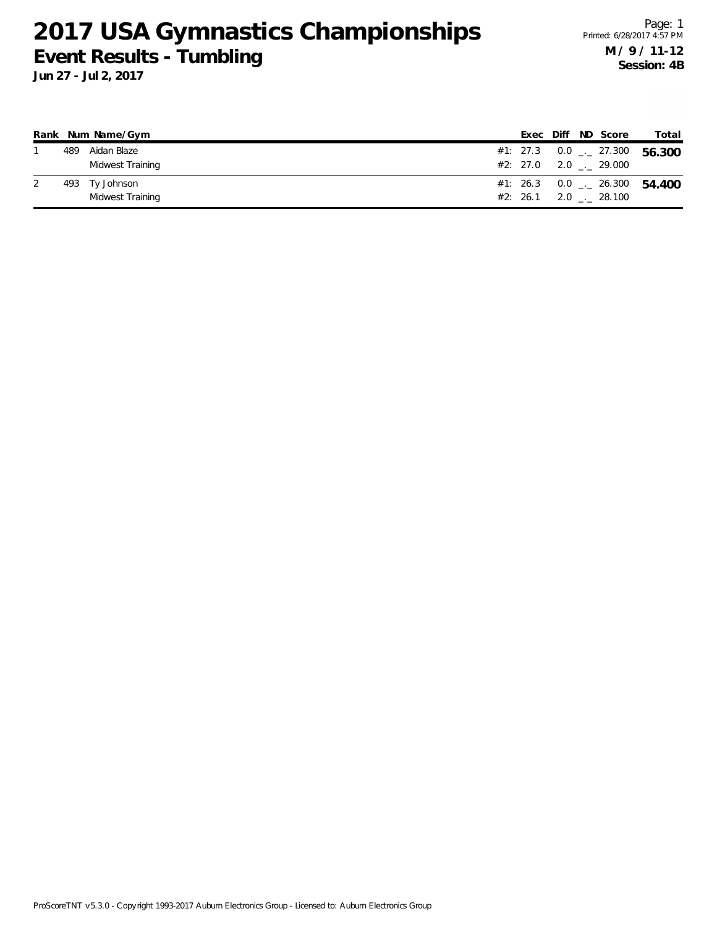|  | Rank Num Name/Gym |  |  | Exec Diff ND Score         | Total                                    |
|--|-------------------|--|--|----------------------------|------------------------------------------|
|  | 489 Aidan Blaze   |  |  |                            | #1: 27.3 0.0 $\frac{1}{2}$ 27.300 56.300 |
|  | Midwest Training  |  |  | $\#2: 27.0 2.0 2.0 29.000$ |                                          |
|  | 493 Ty Johnson    |  |  |                            | #1: 26.3 0.0 $\frac{1}{2}$ 26.300 54.400 |
|  | Midwest Training  |  |  | #2: 26.1 2.0 28.100        |                                          |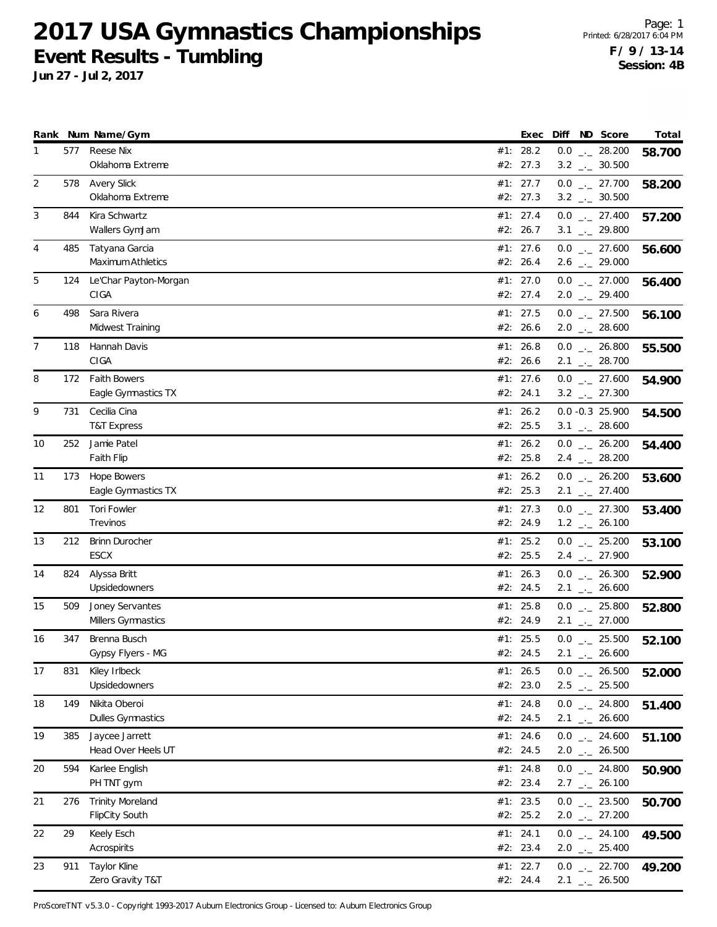**Jun 27 - Jul 2, 2017**

|    |     | Rank Num Name/Gym                                | Exec                   |  | Diff ND Score                                                | Total  |
|----|-----|--------------------------------------------------|------------------------|--|--------------------------------------------------------------|--------|
| 1  | 577 | Reese Nix<br>Oklahoma Extreme                    | #1: 28.2<br>#2: 27.3   |  | $0.0$ _ 28.200<br>$3.2$ $_{\leftarrow}$ 30.500               | 58.700 |
| 2  | 578 | <b>Avery Slick</b><br>Oklahoma Extreme           | #1: 27.7<br>#2: 27.3   |  | $0.0$ $_{-}$ 27.700<br>$3.2$ $_{\leftarrow}$ 30.500          | 58.200 |
| 3  | 844 | Kira Schwartz<br>Wallers GymJam                  | #1: 27.4<br>#2: 26.7   |  | $0.0$ _ 27.400<br>$3.1$ $_{-1}$ 29.800                       | 57.200 |
| 4  | 485 | Tatyana Garcia<br>Maximum Athletics              | #1: 27.6<br>#2: 26.4   |  | $0.0$ _ 27.600<br>$2.6$ $_{\leftarrow}$ 29.000               | 56.600 |
| 5  | 124 | Le'Char Payton-Morgan<br>CIGA                    | #1: 27.0<br>#2: 27.4   |  | $0.0$ _ 27.000<br>$2.0$ $_{\leftarrow}$ 29.400               | 56.400 |
| 6  | 498 | Sara Rivera<br>Midwest Training                  | #1: 27.5<br>#2: 26.6   |  | $0.0$ _ 27.500<br>$2.0$ _ 28.600                             | 56.100 |
| 7  | 118 | Hannah Davis<br>CIGA                             | #1: 26.8<br>#2: 26.6   |  | $0.0$ _ 26.800<br>$2.1$ $_{\leftarrow}$ 28.700               | 55.500 |
| 8  | 172 | <b>Faith Bowers</b><br>Eagle Gymnastics TX       | #1: 27.6<br>#2: 24.1   |  | $0.0$ _ 27.600<br>$3.2$ $_{\leftarrow}$ 27.300               | 54.900 |
| 9  | 731 | Cecilia Cina<br><b>T&amp;T Express</b>           | #1: $26.2$<br>#2: 25.5 |  | $0.0 - 0.3 25.900$<br>$3.1$ _ 28.600                         | 54.500 |
| 10 | 252 | Jamie Patel<br><b>Faith Flip</b>                 | #1: $26.2$<br>#2: 25.8 |  | $0.0$ _ 26.200<br>$2.4$ $_{\leftarrow}$ 28.200               | 54.400 |
| 11 | 173 | <b>Hope Bowers</b><br>Eagle Gymnastics TX        | #1: $26.2$<br>#2: 25.3 |  | $0.0$ _ 26.200<br>$2.1$ $_{\leftarrow}$ 27.400               | 53.600 |
| 12 | 801 | <b>Tori Fowler</b><br>Trevinos                   | #1: 27.3<br>#2: 24.9   |  | $0.0$ $_{-}$ 27.300<br>$1.2$ $_{\leftarrow}$ 26.100          | 53.400 |
| 13 | 212 | <b>Brinn Durocher</b><br>ESCX                    | #1: 25.2<br>#2: 25.5   |  | $0.0$ $_{\leftarrow}$ 25.200<br>$2.4$ $_{\leftarrow}$ 27.900 | 53.100 |
| 14 | 824 | Alyssa Britt<br>Upsidedowners                    | #1: 26.3<br>#2: 24.5   |  | $0.0$ _ 26.300<br>$2.1$ $_{\leftarrow}$ 26.600               | 52.900 |
| 15 | 509 | Joney Servantes<br>Millers Gymnastics            | #1: $25.8$<br>#2: 24.9 |  | $0.0$ _ 25.800<br>$2.1$ $_{\leftarrow}$ 27.000               | 52.800 |
| 16 | 347 | Brenna Busch<br>Gypsy Flyers - MG                | #1: 25.5<br>#2: 24.5   |  | $0.0$ _._ 25.500<br>$2.1$ $_{-}$ 26.600                      | 52.100 |
| 17 | 831 | Kiley Irlbeck<br>Upsidedowners                   | #1: 26.5<br>#2: 23.0   |  | $0.0$ _ 26.500<br>$2.5$ $_{\leftarrow}$ 25.500               | 52.000 |
| 18 | 149 | Nikita Oberoi<br>Dulles Gymnastics               | #1: 24.8<br>#2: 24.5   |  | $0.0$ _ 24.800<br>$2.1$ $_{\leftarrow}$ 26.600               | 51.400 |
| 19 | 385 | Jaycee Jarrett<br>Head Over Heels UT             | #1: 24.6<br>#2: 24.5   |  | $0.0$ _ 24.600<br>$2.0$ _ 26.500                             | 51.100 |
| 20 | 594 | Karlee English<br>PH TNT gym                     | #1: 24.8<br>#2: 23.4   |  | $0.0$ _ 24.800<br>$2.7$ $_{\leftarrow}$ 26.100               | 50.900 |
| 21 | 276 | <b>Trinity Moreland</b><br><b>FlipCity South</b> | #1: 23.5<br>#2: 25.2   |  | $0.0$ _ 23.500<br>$2.0$ $_{\leftarrow}$ 27.200               | 50.700 |
| 22 | 29  | Keely Esch<br>Acrospirits                        | #1: 24.1<br>#2: 23.4   |  | $0.0$ _ 24.100<br>$2.0$ $_{\leftarrow}$ 25.400               | 49.500 |
| 23 | 911 | Taylor Kline<br>Zero Gravity T&T                 | #1: 22.7<br>#2: 24.4   |  | $0.0$ _ 22.700<br>$2.1$ $_{-}$ 26.500                        | 49.200 |

ProScoreTNT v5.3.0 - Copyright 1993-2017 Auburn Electronics Group - Licensed to: Auburn Electronics Group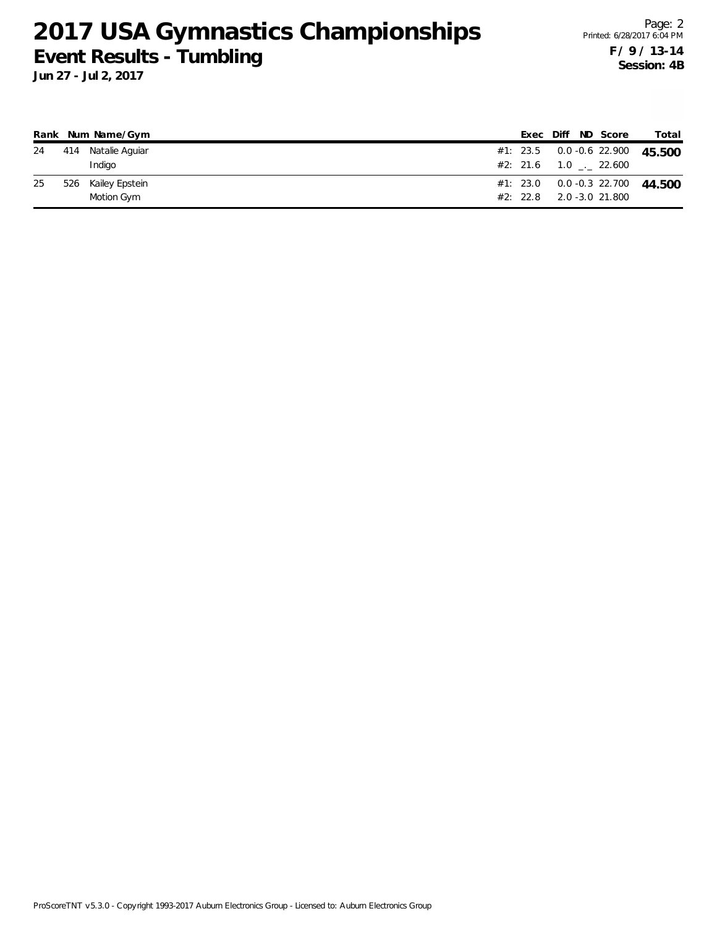|    |     | Rank Num Name/Gym  |  | Exec Diff ND Score                 | Total |
|----|-----|--------------------|--|------------------------------------|-------|
| 24 |     | 414 Natalie Aguiar |  | #1: 23.5  0.0 -0.6  22.900  45.500 |       |
|    |     | Indigo             |  | $#2: 21.6$ 1.0 $.22.600$           |       |
| 25 | 526 | Kailey Epstein     |  | #1: 23.0  0.0 -0.3  22.700  44.500 |       |
|    |     | Motion Gym         |  | #2: 22.8 2.0 -3.0 21.800           |       |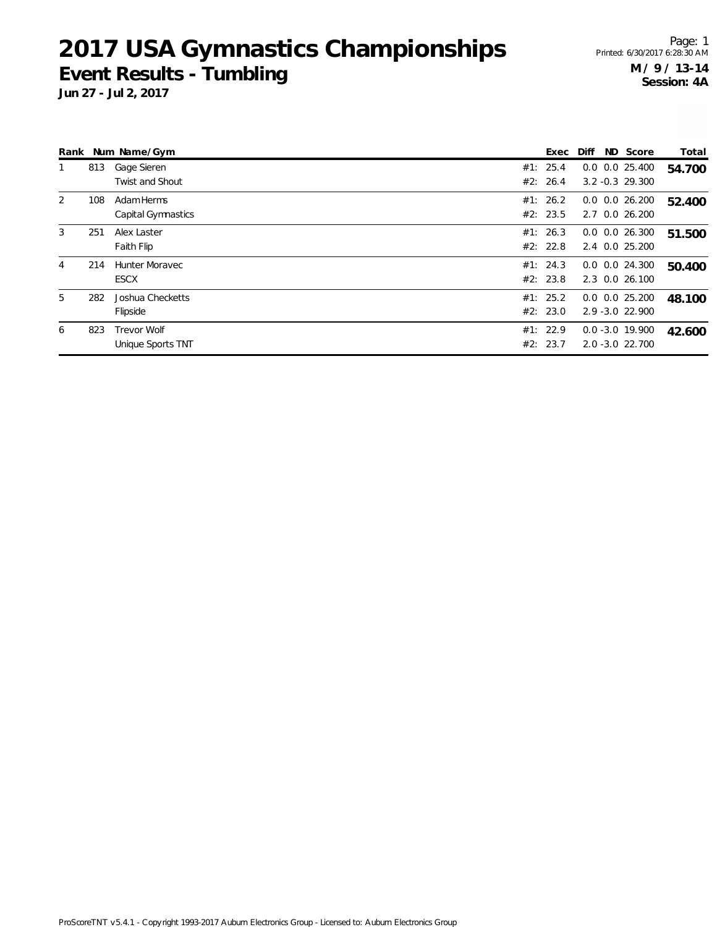Page: 1 Printed: 6/30/2017 6:28:30 AM **M / 9 / 13-14 Session: 4A**

|   |     | Rank Num Name/Gym                     | Exec                 | Diff | ND Score                                 | Total  |
|---|-----|---------------------------------------|----------------------|------|------------------------------------------|--------|
|   | 813 | Gage Sieren<br><b>Twist and Shout</b> | #1: 25.4<br>#2: 26.4 |      | $0.0$ $0.0$ 25.400<br>$3.2 - 0.3$ 29.300 | 54.700 |
| 2 | 108 | Adam Herms<br>Capital Gymnastics      | #1: 26.2<br>#2: 23.5 |      | $0.0$ $0.0$ 26.200<br>2.7 0.0 26.200     | 52.400 |
| 3 | 251 | Alex Laster<br>Faith Flip             | #1: 26.3<br>#2: 22.8 |      | $0.0$ $0.0$ 26.300<br>2.4 0.0 25.200     | 51.500 |
| 4 | 214 | <b>Hunter Moravec</b><br><b>ESCX</b>  | #1: 24.3<br>#2: 23.8 |      | $0.0$ $0.0$ 24.300<br>2.3 0.0 26.100     | 50.400 |
| 5 | 282 | Joshua Checketts<br>Flipside          | #1: 25.2<br>#2: 23.0 |      | $0.0$ $0.0$ 25.200<br>$2.9 - 3.0$ 22.900 | 48.100 |
| 6 | 823 | Trevor Wolf<br>Unique Sports TNT      | #1: 22.9<br>#2: 23.7 |      | $0.0 - 3.0 19.900$<br>2.0 -3.0 22.700    | 42.600 |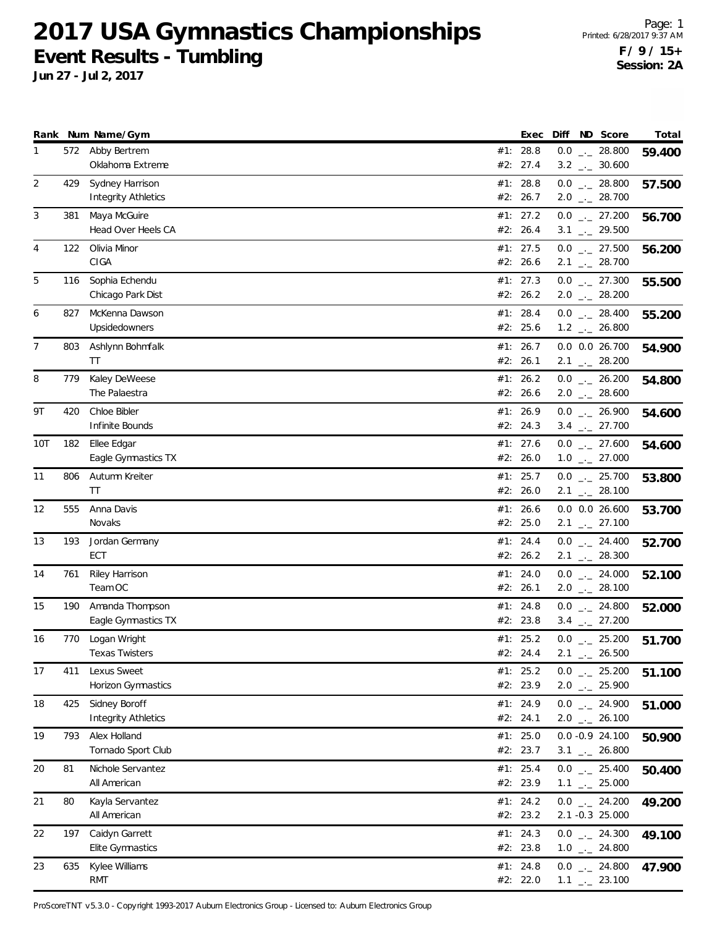**Jun 27 - Jul 2, 2017**

|     |     | Rank Num Name/Gym                           | Exec                   |  | Diff ND Score                                       | Total  |
|-----|-----|---------------------------------------------|------------------------|--|-----------------------------------------------------|--------|
| 1   | 572 | Abby Bertrem<br>Oklahoma Extreme            | #1: 28.8<br>#2: 27.4   |  | $0.0$ _ 28.800<br>$3.2$ $_{\leftarrow}$ 30.600      | 59.400 |
| 2   | 429 | Sydney Harrison<br>Integrity Athletics      | #1: 28.8<br>#2: 26.7   |  | $0.0$ _ 28.800<br>$2.0$ $_{\leftarrow}$ 28.700      | 57.500 |
| 3   | 381 | Maya McGuire<br>Head Over Heels CA          | #1: 27.2<br>#2: 26.4   |  | $0.0$ _ 27.200<br>$3.1$ $_{-1}$ 29.500              | 56.700 |
| 4   | 122 | Olivia Minor<br>CIGA                        | #1: 27.5<br>#2: 26.6   |  | $0.0$ _ 27.500<br>$2.1$ $_{-1}$ 28.700              | 56.200 |
| 5   | 116 | Sophia Echendu<br>Chicago Park Dist         | #1: 27.3<br>#2: 26.2   |  | $0.0$ $_{-}$ 27.300<br>$2.0$ $_{\leftarrow}$ 28.200 | 55.500 |
| 6   | 827 | McKenna Dawson<br>Upsidedowners             | #1: 28.4<br>#2: 25.6   |  | $0.0$ _ 28.400<br>$1.2$ $_{\leftarrow}$ 26.800      | 55.200 |
| 7   | 803 | Ashlynn Bohmfalk<br>TT                      | #1: 26.7<br>#2: 26.1   |  | 0.0 0.0 26.700<br>$2.1$ $_{-}$ 28.200               | 54.900 |
| 8   | 779 | Kaley DeWeese<br>The Palaestra              | #1: 26.2<br>#2: 26.6   |  | $0.0$ _ 26.200<br>$2.0$ _ 28.600                    | 54.800 |
| 9Τ  | 420 | Chloe Bibler<br>Infinite Bounds             | #1: 26.9<br>#2: 24.3   |  | $0.0$ _ 26.900<br>$3.4$ $_{\leftarrow}$ 27.700      | 54.600 |
| 10T | 182 | Ellee Edgar<br>Eagle Gymnastics TX          | #1: 27.6<br>#2: 26.0   |  | $0.0$ _ 27.600<br>$1.0$ $_{\leftarrow}$ 27.000      | 54.600 |
| 11  | 806 | Autumn Kreiter<br>TT                        | #1: 25.7<br>#2: 26.0   |  | $0.0$ _ 25.700<br>$2.1$ $_{\leftarrow}$ 28.100      | 53.800 |
| 12  | 555 | Anna Davis<br>Novaks                        | #1: 26.6<br>#2: 25.0   |  | $0.0$ $0.0$ 26.600<br>$2.1$ $_{-1}$ 27.100          | 53.700 |
| 13  | 193 | Jordan Germany<br>ECT                       | #1: 24.4<br>#2: 26.2   |  | $0.0$ _ 24.400<br>$2.1$ $_{\leftarrow}$ 28.300      | 52.700 |
| 14  | 761 | Riley Harrison<br>Team OC                   | #1: 24.0<br>#2: 26.1   |  | $0.0$ $_{-}$ 24.000<br>$2.0$ _ 28.100               | 52.100 |
| 15  | 190 | Amanda Thompson<br>Eagle Gymnastics TX      | #1: 24.8<br>#2: 23.8   |  | $0.0$ _ 24.800<br>$3.4$ $_{-1}$ 27.200              | 52.000 |
| 16  | 770 | Logan Wright<br>Texas Twisters              | #1: 25.2<br>#2: 24.4   |  | $0.0$ _ 25.200<br>$2.1$ $_{-}$ 26.500               | 51.700 |
| 17  | 411 | Lexus Sweet<br>Horizon Gymnastics           | #1: $25.2$<br>#2: 23.9 |  | $0.0$ - 25.200<br>$2.0$ $_{\leftarrow}$ 25.900      | 51.100 |
| 18  | 425 | Sidney Boroff<br><b>Integrity Athletics</b> | #1: 24.9<br>#2: 24.1   |  | $0.0$ _ 24.900<br>$2.0$ $_{\leftarrow}$ 26.100      | 51.000 |
| 19  | 793 | Alex Holland<br>Tornado Sport Club          | #1: $25.0$<br>#2: 23.7 |  | $0.0 -0.9 24.100$<br>$3.1$ $_{-1}$ 26.800           | 50.900 |
| 20  | 81  | Nichole Servantez<br>All American           | #1: 25.4<br>#2: 23.9   |  | $0.0$ _ 25.400<br>$1.1$ $_{-1}$ 25.000              | 50.400 |
| 21  | 80  | Kayla Servantez<br>All American             | #1: 24.2<br>#2: 23.2   |  | $0.0$ _ 24.200<br>2.1 -0.3 25.000                   | 49.200 |
| 22  | 197 | Caidyn Garrett<br>Elite Gymnastics          | #1: 24.3<br>#2: 23.8   |  | $0.0$ _ 24.300<br>$1.0$ _ 24.800                    | 49.100 |
| 23  | 635 | Kylee Williams<br><b>RMT</b>                | #1: 24.8<br>#2: 22.0   |  | $0.0$ _ 24.800<br>$1.1$ $_{-1}$ 23.100              | 47.900 |

ProScoreTNT v5.3.0 - Copyright 1993-2017 Auburn Electronics Group - Licensed to: Auburn Electronics Group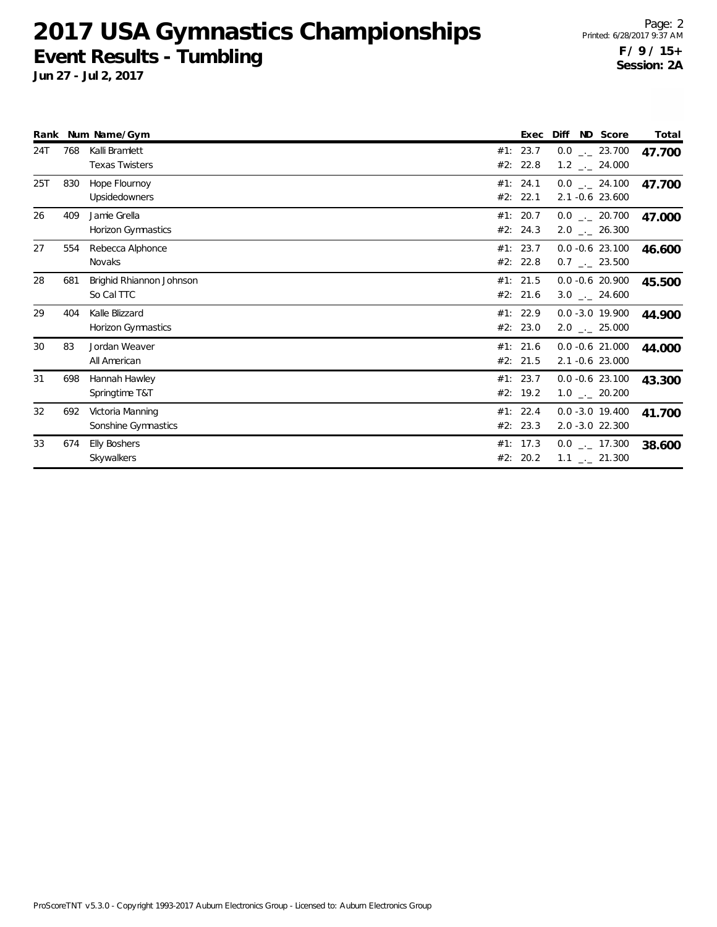**Jun 27 - Jul 2, 2017**

Page: 2 Printed: 6/28/2017 9:37 AM **F / 9 / 15+ Session: 2A**

|     |     | Rank Num Name/Gym                       |     | Exec                   | Diff<br>ND Score                                   | Total  |
|-----|-----|-----------------------------------------|-----|------------------------|----------------------------------------------------|--------|
| 24T | 768 | Kalli Bramlett<br><b>Texas Twisters</b> | #1: | 23.7<br>#2: 22.8       | $0.0$ _ 23.700<br>$1.2$ $_{\leftarrow}$ 24.000     | 47.700 |
| 25T | 830 | Hope Flournoy<br>Upsidedowners          |     | #1: 24.1<br>#2: 22.1   | $0.0$ _._ 24.100<br>2.1 -0.6 23.600                | 47.700 |
| 26  | 409 | Jamie Grella<br>Horizon Gymnastics      |     | #1: $20.7$<br>#2: 24.3 | $0.0$ _ 20.700<br>$2.0$ $_{\leftarrow}$ 26.300     | 47.000 |
| 27  | 554 | Rebecca Alphonce<br>Novaks              |     | #1: 23.7<br>#2: 22.8   | $0.0 -0.6$ 23.100<br>$0.7$ $-.23.500$              | 46.600 |
| 28  | 681 | Brighid Rhiannon Johnson<br>So Cal TTC  |     | #1: 21.5<br>#2: 21.6   | $0.0 - 0.6$ 20.900<br>$3.0$ $_{\leftarrow}$ 24.600 | 45.500 |
| 29  | 404 | Kalle Blizzard<br>Horizon Gymnastics    |     | #1: 22.9<br>#2: 23.0   | $0.0 - 3.0 19.900$<br>$2.0$ _._ 25.000             | 44.900 |
| 30  | 83  | Jordan Weaver<br>All American           |     | #1: 21.6<br>#2: 21.5   | $0.0 - 0.6$ 21.000<br>2.1 -0.6 23.000              | 44.000 |
| 31  | 698 | Hannah Hawley<br>Springtime T&T         |     | #1: 23.7<br>#2: 19.2   | $0.0 - 0.6$ 23.100<br>$1.0$ _ 20.200               | 43.300 |
| 32  | 692 | Victoria Manning<br>Sonshine Gymnastics |     | #1: 22.4<br>#2: 23.3   | $0.0 - 3.0 19.400$<br>2.0 -3.0 22.300              | 41.700 |
| 33  | 674 | <b>Elly Boshers</b><br>Skywalkers       |     | #1: 17.3<br>#2: 20.2   | $0.0$ _ $-$ 17.300<br>$1.1$ $_{-}$ 21.300          | 38.600 |